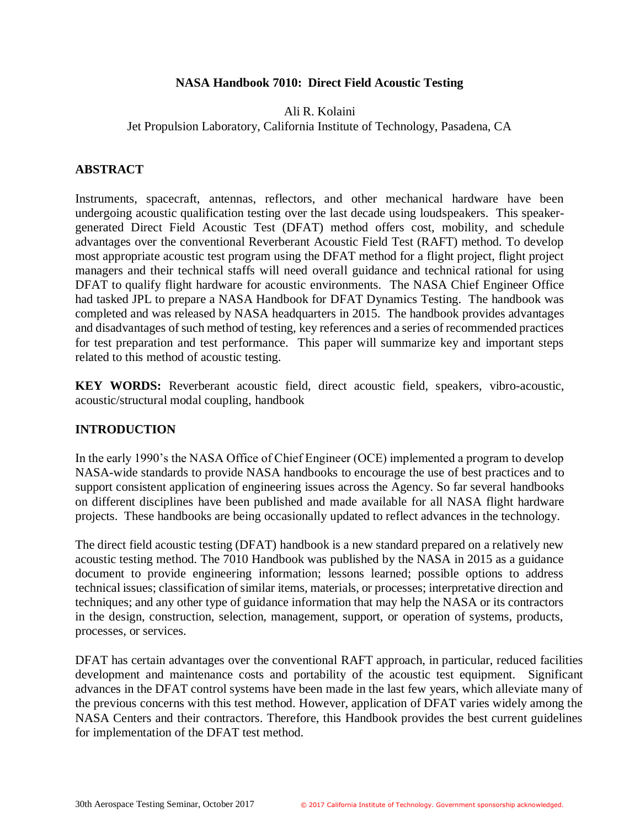### **NASA Handbook 7010: Direct Field Acoustic Testing**

### Ali R. Kolaini Jet Propulsion Laboratory, California Institute of Technology, Pasadena, CA

### **ABSTRACT**

Instruments, spacecraft, antennas, reflectors, and other mechanical hardware have been undergoing acoustic qualification testing over the last decade using loudspeakers. This speakergenerated Direct Field Acoustic Test (DFAT) method offers cost, mobility, and schedule advantages over the conventional Reverberant Acoustic Field Test (RAFT) method. To develop most appropriate acoustic test program using the DFAT method for a flight project, flight project managers and their technical staffs will need overall guidance and technical rational for using DFAT to qualify flight hardware for acoustic environments. The NASA Chief Engineer Office had tasked JPL to prepare a NASA Handbook for DFAT Dynamics Testing. The handbook was completed and was released by NASA headquarters in 2015. The handbook provides advantages and disadvantages of such method of testing, key references and a series of recommended practices for test preparation and test performance. This paper will summarize key and important steps related to this method of acoustic testing.

**KEY WORDS:** Reverberant acoustic field, direct acoustic field, speakers, vibro-acoustic, acoustic/structural modal coupling, handbook

#### **INTRODUCTION**

In the early 1990's the NASA Office of Chief Engineer (OCE) implemented a program to develop NASA-wide standards to provide NASA handbooks to encourage the use of best practices and to support consistent application of engineering issues across the Agency. So far several handbooks on different disciplines have been published and made available for all NASA flight hardware projects. These handbooks are being occasionally updated to reflect advances in the technology.

The direct field acoustic testing (DFAT) handbook is a new standard prepared on a relatively new acoustic testing method. The 7010 Handbook was published by the NASA in 2015 as a guidance document to provide engineering information; lessons learned; possible options to address technical issues; classification of similar items, materials, or processes; interpretative direction and techniques; and any other type of guidance information that may help the NASA or its contractors in the design, construction, selection, management, support, or operation of systems, products, processes, or services.

DFAT has certain advantages over the conventional RAFT approach, in particular, reduced facilities development and maintenance costs and portability of the acoustic test equipment. Significant advances in the DFAT control systems have been made in the last few years, which alleviate many of the previous concerns with this test method. However, application of DFAT varies widely among the NASA Centers and their contractors. Therefore, this Handbook provides the best current guidelines for implementation of the DFAT test method.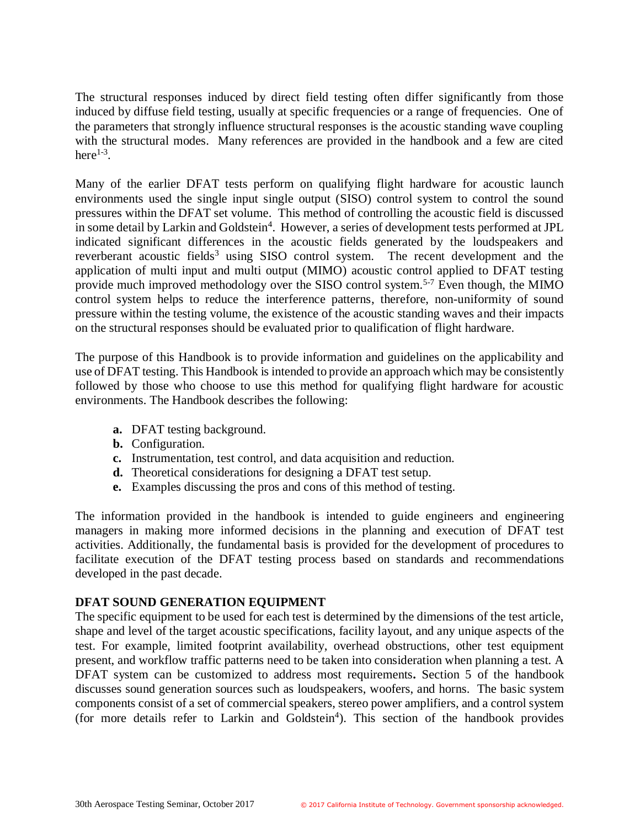The structural responses induced by direct field testing often differ significantly from those induced by diffuse field testing, usually at specific frequencies or a range of frequencies. One of the parameters that strongly influence structural responses is the acoustic standing wave coupling with the structural modes. Many references are provided in the handbook and a few are cited here $^{1-3}$ .

Many of the earlier DFAT tests perform on qualifying flight hardware for acoustic launch environments used the single input single output (SISO) control system to control the sound pressures within the DFAT set volume. This method of controlling the acoustic field is discussed in some detail by Larkin and Goldstein<sup>4</sup>. However, a series of development tests performed at JPL indicated significant differences in the acoustic fields generated by the loudspeakers and reverberant acoustic fields<sup>3</sup> using SISO control system. The recent development and the application of multi input and multi output (MIMO) acoustic control applied to DFAT testing provide much improved methodology over the SISO control system.<sup>5-7</sup> Even though, the MIMO control system helps to reduce the interference patterns, therefore, non-uniformity of sound pressure within the testing volume, the existence of the acoustic standing waves and their impacts on the structural responses should be evaluated prior to qualification of flight hardware.

The purpose of this Handbook is to provide information and guidelines on the applicability and use of DFAT testing. This Handbook is intended to provide an approach which may be consistently followed by those who choose to use this method for qualifying flight hardware for acoustic environments. The Handbook describes the following:

- **a.** DFAT testing background.
- **b.** Configuration.
- **c.** Instrumentation, test control, and data acquisition and reduction.
- **d.** Theoretical considerations for designing a DFAT test setup.
- **e.** Examples discussing the pros and cons of this method of testing.

The information provided in the handbook is intended to guide engineers and engineering managers in making more informed decisions in the planning and execution of DFAT test activities. Additionally, the fundamental basis is provided for the development of procedures to facilitate execution of the DFAT testing process based on standards and recommendations developed in the past decade.

#### **DFAT SOUND GENERATION EQUIPMENT**

The specific equipment to be used for each test is determined by the dimensions of the test article, shape and level of the target acoustic specifications, facility layout, and any unique aspects of the test. For example, limited footprint availability, overhead obstructions, other test equipment present, and workflow traffic patterns need to be taken into consideration when planning a test. A DFAT system can be customized to address most requirements**.** Section 5 of the handbook discusses sound generation sources such as loudspeakers, woofers, and horns. The basic system components consist of a set of commercial speakers, stereo power amplifiers, and a control system (for more details refer to Larkin and Goldstein<sup>4</sup>). This section of the handbook provides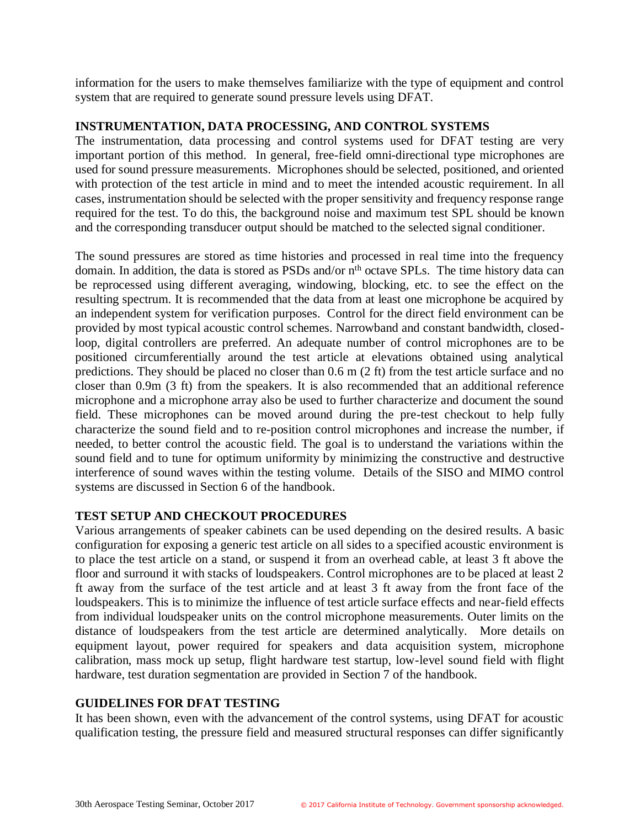information for the users to make themselves familiarize with the type of equipment and control system that are required to generate sound pressure levels using DFAT.

### **INSTRUMENTATION, DATA PROCESSING, AND CONTROL SYSTEMS**

The instrumentation, data processing and control systems used for DFAT testing are very important portion of this method. In general, free-field omni-directional type microphones are used for sound pressure measurements. Microphones should be selected, positioned, and oriented with protection of the test article in mind and to meet the intended acoustic requirement. In all cases, instrumentation should be selected with the proper sensitivity and frequency response range required for the test. To do this, the background noise and maximum test SPL should be known and the corresponding transducer output should be matched to the selected signal conditioner.

The sound pressures are stored as time histories and processed in real time into the frequency domain. In addition, the data is stored as PSDs and/or n<sup>th</sup> octave SPLs. The time history data can be reprocessed using different averaging, windowing, blocking, etc. to see the effect on the resulting spectrum. It is recommended that the data from at least one microphone be acquired by an independent system for verification purposes. Control for the direct field environment can be provided by most typical acoustic control schemes. Narrowband and constant bandwidth, closedloop, digital controllers are preferred. An adequate number of control microphones are to be positioned circumferentially around the test article at elevations obtained using analytical predictions. They should be placed no closer than 0.6 m (2 ft) from the test article surface and no closer than 0.9m (3 ft) from the speakers. It is also recommended that an additional reference microphone and a microphone array also be used to further characterize and document the sound field. These microphones can be moved around during the pre-test checkout to help fully characterize the sound field and to re-position control microphones and increase the number, if needed, to better control the acoustic field. The goal is to understand the variations within the sound field and to tune for optimum uniformity by minimizing the constructive and destructive interference of sound waves within the testing volume. Details of the SISO and MIMO control systems are discussed in Section 6 of the handbook.

# **TEST SETUP AND CHECKOUT PROCEDURES**

Various arrangements of speaker cabinets can be used depending on the desired results. A basic configuration for exposing a generic test article on all sides to a specified acoustic environment is to place the test article on a stand, or suspend it from an overhead cable, at least 3 ft above the floor and surround it with stacks of loudspeakers. Control microphones are to be placed at least 2 ft away from the surface of the test article and at least 3 ft away from the front face of the loudspeakers. This is to minimize the influence of test article surface effects and near-field effects from individual loudspeaker units on the control microphone measurements. Outer limits on the distance of loudspeakers from the test article are determined analytically. More details on equipment layout, power required for speakers and data acquisition system, microphone calibration, mass mock up setup, flight hardware test startup, low-level sound field with flight hardware, test duration segmentation are provided in Section 7 of the handbook.

### **GUIDELINES FOR DFAT TESTING**

It has been shown, even with the advancement of the control systems, using DFAT for acoustic qualification testing, the pressure field and measured structural responses can differ significantly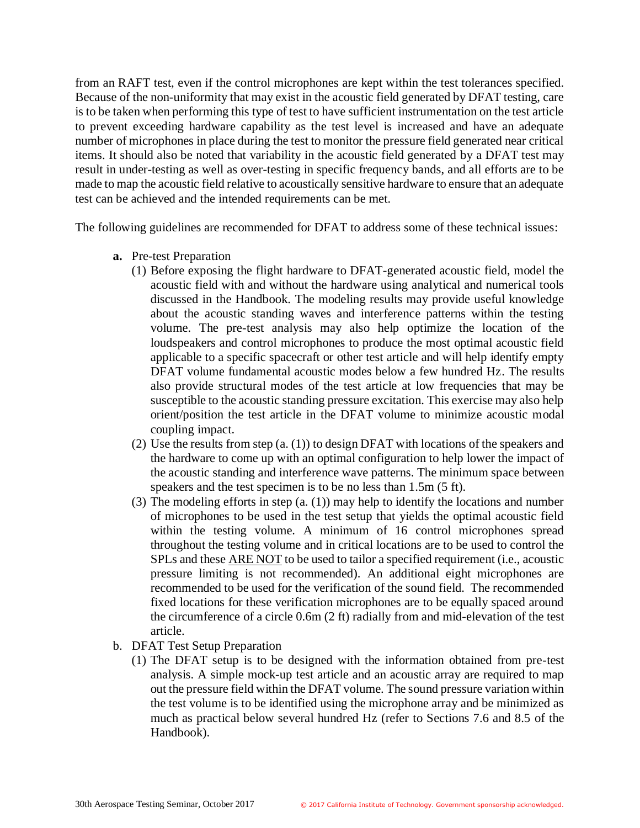from an RAFT test, even if the control microphones are kept within the test tolerances specified. Because of the non-uniformity that may exist in the acoustic field generated by DFAT testing, care is to be taken when performing this type of test to have sufficient instrumentation on the test article to prevent exceeding hardware capability as the test level is increased and have an adequate number of microphones in place during the test to monitor the pressure field generated near critical items. It should also be noted that variability in the acoustic field generated by a DFAT test may result in under-testing as well as over-testing in specific frequency bands, and all efforts are to be made to map the acoustic field relative to acoustically sensitive hardware to ensure that an adequate test can be achieved and the intended requirements can be met.

The following guidelines are recommended for DFAT to address some of these technical issues:

- **a.** Pre-test Preparation
	- (1) Before exposing the flight hardware to DFAT-generated acoustic field, model the acoustic field with and without the hardware using analytical and numerical tools discussed in the Handbook. The modeling results may provide useful knowledge about the acoustic standing waves and interference patterns within the testing volume. The pre-test analysis may also help optimize the location of the loudspeakers and control microphones to produce the most optimal acoustic field applicable to a specific spacecraft or other test article and will help identify empty DFAT volume fundamental acoustic modes below a few hundred Hz. The results also provide structural modes of the test article at low frequencies that may be susceptible to the acoustic standing pressure excitation. This exercise may also help orient/position the test article in the DFAT volume to minimize acoustic modal coupling impact.
	- (2) Use the results from step (a. (1)) to design DFAT with locations of the speakers and the hardware to come up with an optimal configuration to help lower the impact of the acoustic standing and interference wave patterns. The minimum space between speakers and the test specimen is to be no less than 1.5m (5 ft).
	- (3) The modeling efforts in step (a. (1)) may help to identify the locations and number of microphones to be used in the test setup that yields the optimal acoustic field within the testing volume. A minimum of 16 control microphones spread throughout the testing volume and in critical locations are to be used to control the SPLs and these ARE NOT to be used to tailor a specified requirement (i.e., acoustic pressure limiting is not recommended). An additional eight microphones are recommended to be used for the verification of the sound field. The recommended fixed locations for these verification microphones are to be equally spaced around the circumference of a circle 0.6m (2 ft) radially from and mid-elevation of the test article.
- b. DFAT Test Setup Preparation
	- (1) The DFAT setup is to be designed with the information obtained from pre-test analysis. A simple mock-up test article and an acoustic array are required to map out the pressure field within the DFAT volume. The sound pressure variation within the test volume is to be identified using the microphone array and be minimized as much as practical below several hundred Hz (refer to Sections 7.6 and 8.5 of the Handbook).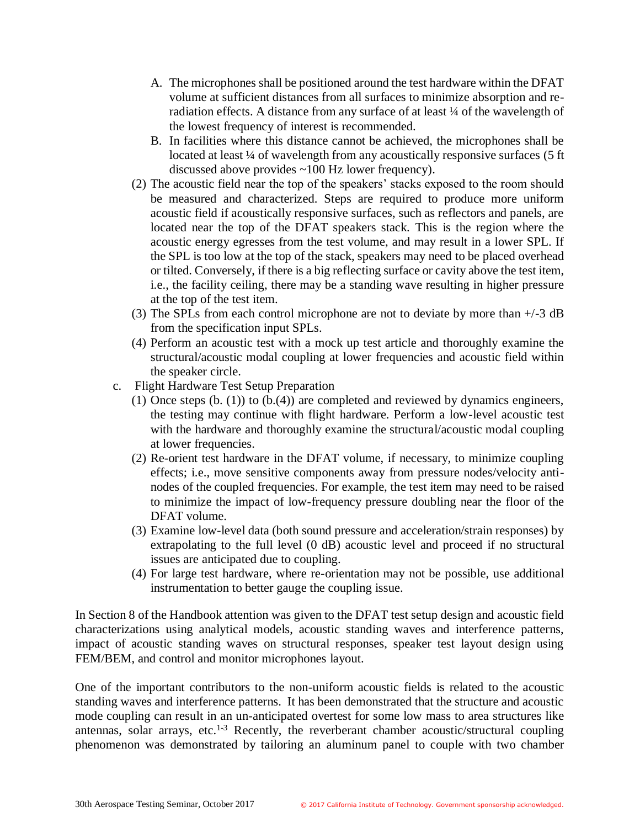- A. The microphones shall be positioned around the test hardware within the DFAT volume at sufficient distances from all surfaces to minimize absorption and reradiation effects. A distance from any surface of at least ¼ of the wavelength of the lowest frequency of interest is recommended.
- B. In facilities where this distance cannot be achieved, the microphones shall be located at least ¼ of wavelength from any acoustically responsive surfaces (5 ft) discussed above provides ~100 Hz lower frequency).
- (2) The acoustic field near the top of the speakers' stacks exposed to the room should be measured and characterized. Steps are required to produce more uniform acoustic field if acoustically responsive surfaces, such as reflectors and panels, are located near the top of the DFAT speakers stack. This is the region where the acoustic energy egresses from the test volume, and may result in a lower SPL. If the SPL is too low at the top of the stack, speakers may need to be placed overhead or tilted. Conversely, if there is a big reflecting surface or cavity above the test item, i.e., the facility ceiling, there may be a standing wave resulting in higher pressure at the top of the test item.
- (3) The SPLs from each control microphone are not to deviate by more than +/-3 dB from the specification input SPLs.
- (4) Perform an acoustic test with a mock up test article and thoroughly examine the structural/acoustic modal coupling at lower frequencies and acoustic field within the speaker circle.
- c. Flight Hardware Test Setup Preparation
	- (1) Once steps (b. (1)) to (b.(4)) are completed and reviewed by dynamics engineers, the testing may continue with flight hardware. Perform a low-level acoustic test with the hardware and thoroughly examine the structural/acoustic modal coupling at lower frequencies.
	- (2) Re-orient test hardware in the DFAT volume, if necessary, to minimize coupling effects; i.e., move sensitive components away from pressure nodes/velocity antinodes of the coupled frequencies. For example, the test item may need to be raised to minimize the impact of low-frequency pressure doubling near the floor of the DFAT volume.
	- (3) Examine low-level data (both sound pressure and acceleration/strain responses) by extrapolating to the full level (0 dB) acoustic level and proceed if no structural issues are anticipated due to coupling.
	- (4) For large test hardware, where re-orientation may not be possible, use additional instrumentation to better gauge the coupling issue.

In Section 8 of the Handbook attention was given to the DFAT test setup design and acoustic field characterizations using analytical models, acoustic standing waves and interference patterns, impact of acoustic standing waves on structural responses, speaker test layout design using FEM/BEM, and control and monitor microphones layout.

One of the important contributors to the non-uniform acoustic fields is related to the acoustic standing waves and interference patterns. It has been demonstrated that the structure and acoustic mode coupling can result in an un-anticipated overtest for some low mass to area structures like antennas, solar arrays, etc.<sup>1-3</sup> Recently, the reverberant chamber acoustic/structural coupling phenomenon was demonstrated by tailoring an aluminum panel to couple with two chamber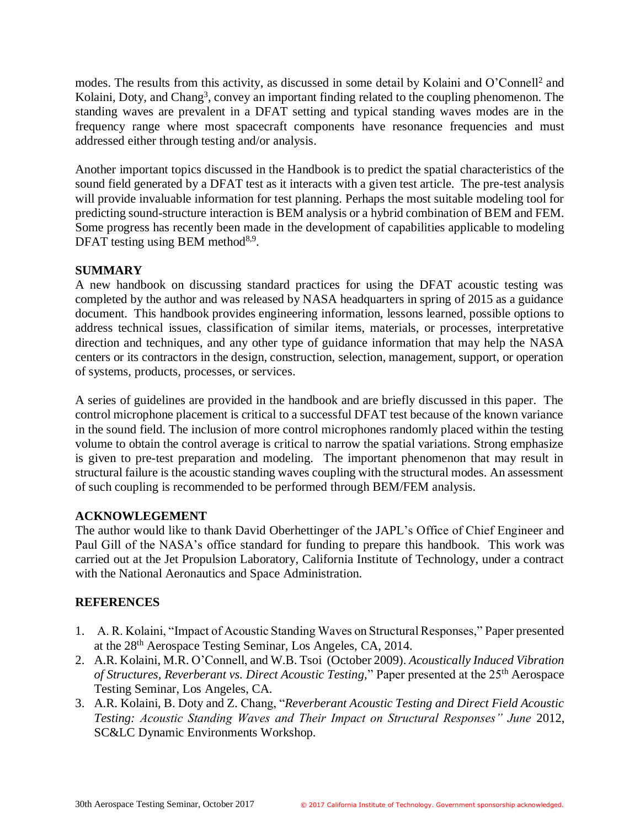modes. The results from this activity, as discussed in some detail by Kolaini and O'Connell<sup>2</sup> and Kolaini, Doty, and Chang<sup>3</sup>, convey an important finding related to the coupling phenomenon. The standing waves are prevalent in a DFAT setting and typical standing waves modes are in the frequency range where most spacecraft components have resonance frequencies and must addressed either through testing and/or analysis.

Another important topics discussed in the Handbook is to predict the spatial characteristics of the sound field generated by a DFAT test as it interacts with a given test article. The pre-test analysis will provide invaluable information for test planning. Perhaps the most suitable modeling tool for predicting sound-structure interaction is BEM analysis or a hybrid combination of BEM and FEM. Some progress has recently been made in the development of capabilities applicable to modeling DFAT testing using BEM method $8.9$ .

# **SUMMARY**

A new handbook on discussing standard practices for using the DFAT acoustic testing was completed by the author and was released by NASA headquarters in spring of 2015 as a guidance document. This handbook provides engineering information, lessons learned, possible options to address technical issues, classification of similar items, materials, or processes, interpretative direction and techniques, and any other type of guidance information that may help the NASA centers or its contractors in the design, construction, selection, management, support, or operation of systems, products, processes, or services.

A series of guidelines are provided in the handbook and are briefly discussed in this paper. The control microphone placement is critical to a successful DFAT test because of the known variance in the sound field. The inclusion of more control microphones randomly placed within the testing volume to obtain the control average is critical to narrow the spatial variations. Strong emphasize is given to pre-test preparation and modeling. The important phenomenon that may result in structural failure is the acoustic standing waves coupling with the structural modes. An assessment of such coupling is recommended to be performed through BEM/FEM analysis.

# **ACKNOWLEGEMENT**

The author would like to thank David Oberhettinger of the JAPL's Office of Chief Engineer and Paul Gill of the NASA's office standard for funding to prepare this handbook. This work was carried out at the Jet Propulsion Laboratory, California Institute of Technology, under a contract with the National Aeronautics and Space Administration.

# **REFERENCES**

- 1. A. R. Kolaini, "Impact of Acoustic Standing Waves on Structural Responses," Paper presented at the 28th Aerospace Testing Seminar, Los Angeles, CA, 2014.
- 2. A.R. Kolaini, M.R. O'Connell, and W.B. Tsoi (October 2009). *Acoustically Induced Vibration of Structures, Reverberant vs. Direct Acoustic Testing,*" Paper presented at the 25th Aerospace Testing Seminar, Los Angeles, CA.
- 3. A.R. Kolaini, B. Doty and Z. Chang, "*Reverberant Acoustic Testing and Direct Field Acoustic Testing: Acoustic Standing Waves and Their Impact on Structural Responses" June* 2012, SC&LC Dynamic Environments Workshop.